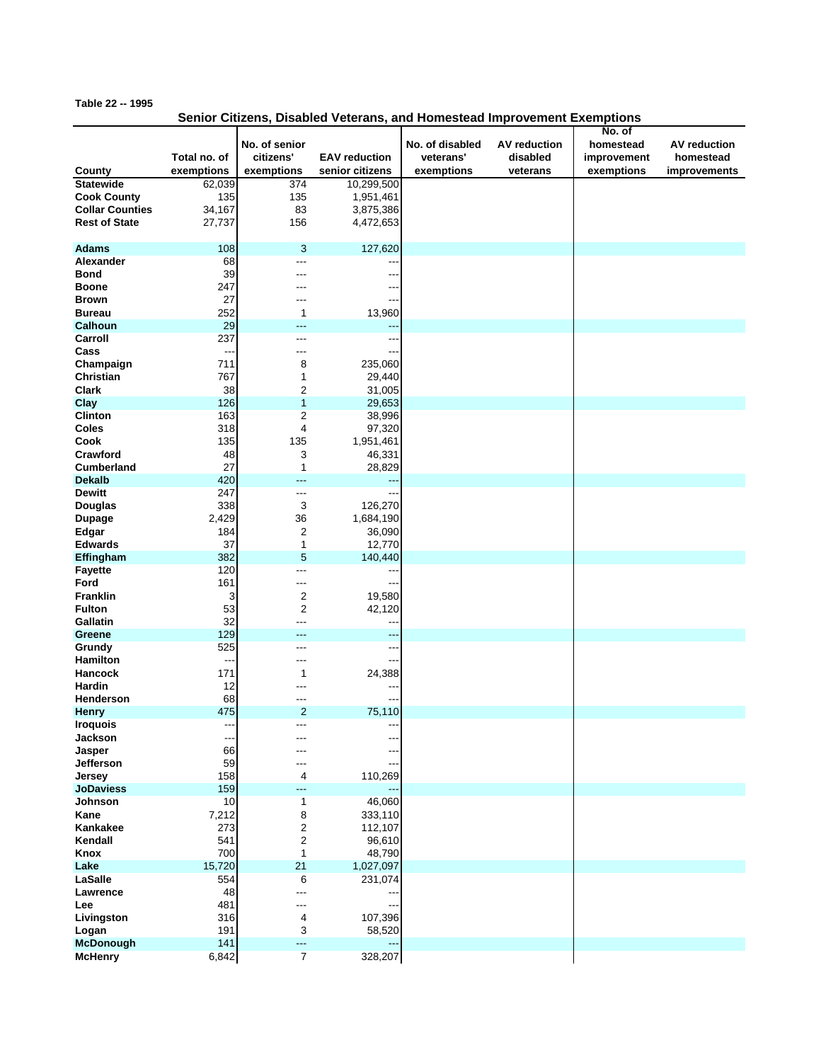## **Table 22 -- 1995**

## **Senior Citizens, Disabled Veterans, and Homestead Improvement Exemptions**

|                        |                          |                            |                      |                              |                                 | No. of                   |                                  |
|------------------------|--------------------------|----------------------------|----------------------|------------------------------|---------------------------------|--------------------------|----------------------------------|
|                        | Total no. of             | No. of senior<br>citizens' | <b>EAV</b> reduction | No. of disabled<br>veterans' | <b>AV reduction</b><br>disabled | homestead<br>improvement | <b>AV</b> reduction<br>homestead |
| County                 | exemptions               | exemptions                 | senior citizens      | exemptions                   | veterans                        | exemptions               | improvements                     |
| <b>Statewide</b>       | 62,039                   | 374                        | 10,299,500           |                              |                                 |                          |                                  |
| <b>Cook County</b>     | 135                      | 135                        | 1,951,461            |                              |                                 |                          |                                  |
| <b>Collar Counties</b> | 34,167                   | 83                         | 3,875,386            |                              |                                 |                          |                                  |
|                        |                          |                            |                      |                              |                                 |                          |                                  |
| <b>Rest of State</b>   | 27,737                   | 156                        | 4,472,653            |                              |                                 |                          |                                  |
|                        |                          |                            |                      |                              |                                 |                          |                                  |
| <b>Adams</b>           | 108                      | 3                          | 127,620              |                              |                                 |                          |                                  |
| Alexander              | 68                       | ---                        |                      |                              |                                 |                          |                                  |
| <b>Bond</b>            | 39                       | ---                        |                      |                              |                                 |                          |                                  |
| <b>Boone</b>           | 247                      | ---                        |                      |                              |                                 |                          |                                  |
| <b>Brown</b>           | 27                       | -−-                        |                      |                              |                                 |                          |                                  |
| <b>Bureau</b>          | 252                      | 1                          | 13,960               |                              |                                 |                          |                                  |
| <b>Calhoun</b>         | 29                       | ---                        |                      |                              |                                 |                          |                                  |
|                        |                          |                            | --                   |                              |                                 |                          |                                  |
| Carroll                | 237                      | ---                        |                      |                              |                                 |                          |                                  |
| Cass                   | $\overline{\phantom{a}}$ | ---                        |                      |                              |                                 |                          |                                  |
| Champaign              | 711                      | 8                          | 235,060              |                              |                                 |                          |                                  |
| Christian              | 767                      | 1                          | 29,440               |                              |                                 |                          |                                  |
| <b>Clark</b>           | 38                       | $\overline{c}$             | 31,005               |                              |                                 |                          |                                  |
| Clay                   | 126                      | $\mathbf{1}$               | 29,653               |                              |                                 |                          |                                  |
| <b>Clinton</b>         | 163                      | $\overline{c}$             | 38,996               |                              |                                 |                          |                                  |
| <b>Coles</b>           | 318                      | $\overline{4}$             | 97,320               |                              |                                 |                          |                                  |
| Cook                   |                          | 135                        | 1,951,461            |                              |                                 |                          |                                  |
|                        | 135                      |                            |                      |                              |                                 |                          |                                  |
| Crawford               | 48                       | 3                          | 46,331               |                              |                                 |                          |                                  |
| <b>Cumberland</b>      | 27                       | $\mathbf 1$                | 28,829               |                              |                                 |                          |                                  |
| <b>Dekalb</b>          | 420                      | ---                        |                      |                              |                                 |                          |                                  |
| <b>Dewitt</b>          | 247                      | ---                        |                      |                              |                                 |                          |                                  |
| <b>Douglas</b>         | 338                      | 3                          | 126,270              |                              |                                 |                          |                                  |
| <b>Dupage</b>          | 2,429                    | 36                         | 1,684,190            |                              |                                 |                          |                                  |
| Edgar                  | 184                      | 2                          | 36,090               |                              |                                 |                          |                                  |
| <b>Edwards</b>         | 37                       | 1                          | 12,770               |                              |                                 |                          |                                  |
| Effingham              | 382                      | 5                          | 140,440              |                              |                                 |                          |                                  |
|                        | 120                      | ---                        |                      |                              |                                 |                          |                                  |
| <b>Fayette</b>         |                          |                            |                      |                              |                                 |                          |                                  |
| Ford                   | 161                      | ---                        | --                   |                              |                                 |                          |                                  |
| <b>Franklin</b>        | 3                        | $\overline{c}$             | 19,580               |                              |                                 |                          |                                  |
| <b>Fulton</b>          | 53                       | $\overline{2}$             | 42,120               |                              |                                 |                          |                                  |
| Gallatin               | 32                       | ---                        |                      |                              |                                 |                          |                                  |
| Greene                 | 129                      | ---                        |                      |                              |                                 |                          |                                  |
| Grundy                 | 525                      | ---                        | --                   |                              |                                 |                          |                                  |
| <b>Hamilton</b>        | $\overline{\phantom{a}}$ | ---                        |                      |                              |                                 |                          |                                  |
| <b>Hancock</b>         | 171                      | 1                          | 24,388               |                              |                                 |                          |                                  |
| Hardin                 | 12                       | ---                        |                      |                              |                                 |                          |                                  |
| Henderson              | 68                       | ---                        |                      |                              |                                 |                          |                                  |
| <b>Henry</b>           | 475                      | $\overline{2}$             | 75,110               |                              |                                 |                          |                                  |
| <b>Iroquois</b>        |                          |                            |                      |                              |                                 |                          |                                  |
|                        |                          |                            |                      |                              |                                 |                          |                                  |
| <b>Jackson</b>         | ---                      | ---                        | --                   |                              |                                 |                          |                                  |
| Jasper                 | 66                       |                            |                      |                              |                                 |                          |                                  |
| Jefferson              | 59                       | ---                        |                      |                              |                                 |                          |                                  |
| Jersey                 | 158                      | 4                          | 110,269              |                              |                                 |                          |                                  |
| <b>JoDaviess</b>       | 159                      | ---                        |                      |                              |                                 |                          |                                  |
| Johnson                | 10                       | $\mathbf{1}$               | 46,060               |                              |                                 |                          |                                  |
| Kane                   | 7,212                    | 8                          | 333,110              |                              |                                 |                          |                                  |
| Kankakee               | 273                      | 2                          | 112,107              |                              |                                 |                          |                                  |
| Kendall                | 541                      | $\overline{2}$             | 96,610               |                              |                                 |                          |                                  |
| Knox                   | 700                      | $\mathbf{1}$               | 48,790               |                              |                                 |                          |                                  |
| Lake                   | 15,720                   | 21                         | 1,027,097            |                              |                                 |                          |                                  |
| LaSalle                | 554                      | 6                          | 231,074              |                              |                                 |                          |                                  |
| Lawrence               | 48                       | ---                        |                      |                              |                                 |                          |                                  |
|                        |                          |                            |                      |                              |                                 |                          |                                  |
| Lee                    | 481                      | ---                        |                      |                              |                                 |                          |                                  |
| Livingston             | 316                      | 4                          | 107,396              |                              |                                 |                          |                                  |
| Logan                  | 191                      | 3                          | 58,520               |                              |                                 |                          |                                  |
| McDonough              | 141                      | ---                        |                      |                              |                                 |                          |                                  |
| <b>McHenry</b>         | 6,842                    | $\overline{7}$             | 328,207              |                              |                                 |                          |                                  |